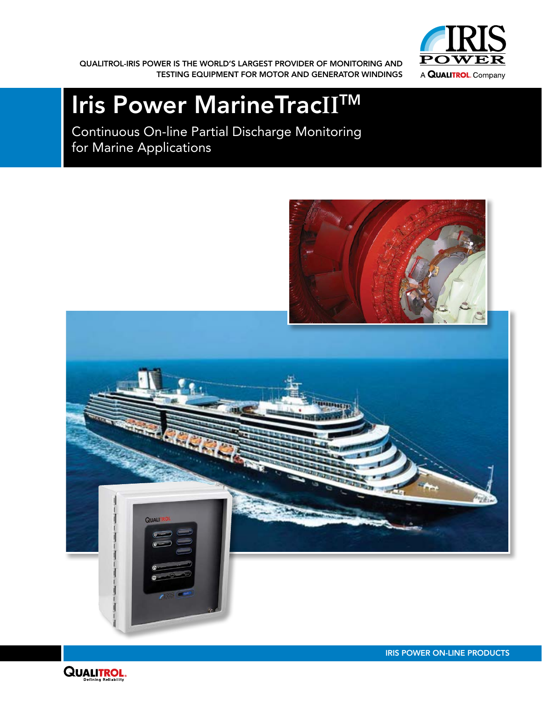QUALITROL-IRIS POWER IS THE WORLD'S LARGEST PROVIDER OF MONITORING AND TESTING EQUIPMENT FOR MOTOR AND GENERATOR WINDINGS



# Iris Power MarineTrac**II**TM

Continuous On-line Partial Discharge Monitoring for Marine Applications



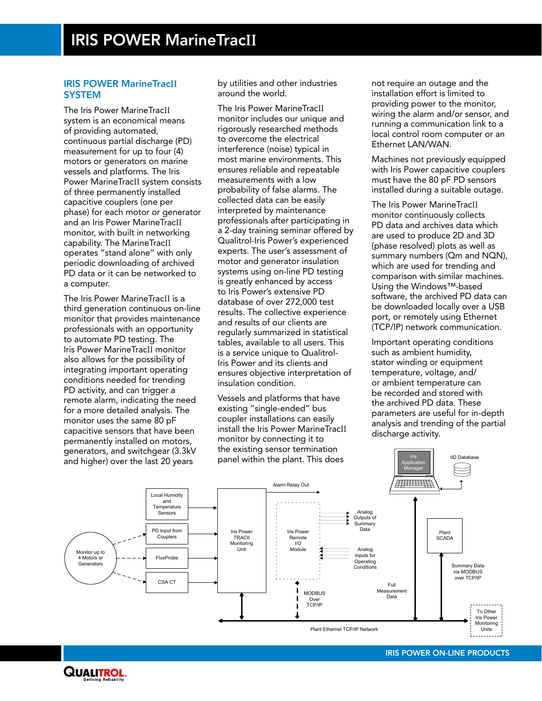#### IRIS POWER MarineTrac**II SYSTEM**

The Iris Power MarineTracII system is an economical means of providing automated, continuous partial discharge (PD) measurement for up to four (4) motors or generators on marine vessels and platforms. The Iris Power MarineTracII system consists of three permanently installed capacitive couplers (one per phase) for each motor or generator and an Iris Power MarineTracII monitor, with built in networking capability. The MarineTracII operates "stand alone" with only periodic downloading of archived PD data or it can be networked to a computer.

The Iris Power MarineTracII is a third generation continuous on-line monitor that provides maintenance professionals with an opportunity to automate PD testing. The Iris Power MarineTracII monitor also allows for the possibility of integrating important operating conditions needed for trending PD activity, and can trigger a remote alarm, indicating the need for a more detailed analysis. The monitor uses the same 80 pF capacitive sensors that have been permanently installed on motors, generators, and switchgear (3.3kV and higher) over the last 20 years

by utilities and other industries around the world.

The Iris Power MarineTracII monitor includes our unique and rigorously researched methods to overcome the electrical interference (noise) typical in most marine environments. This ensures reliable and repeatable measurements with a low probability of false alarms. The collected data can be easily interpreted by maintenance professionals after participating in a 2-day training seminar offered by Qualitrol-Iris Power's experienced experts. The user's assessment of motor and generator insulation systems using on-line PD testing is greatly enhanced by access to Iris Power's extensive PD database of over 272,000 test results. The collective experience and results of our clients are regularly summarized in statistical tables, available to all users. This is a service unique to Qualitrol-Iris Power and its clients and ensures objective interpretation of insulation condition.

Vessels and platforms that have existing "single-ended" bus coupler installations can easily install the Iris Power MarineTracII monitor by connecting it to the existing sensor termination panel within the plant. This does

not require an outage and the installation effort is limited to providing power to the monitor, wiring the alarm and/or sensor, and running a communication link to a local control room computer or an Ethernet LAN/WAN.

Machines not previously equipped with Iris Power capacitive couplers must have the 80 pF PD sensors installed during a suitable outage.

The Iris Power MarineTracII monitor continuously collects PD data and archives data which are used to produce 2D and 3D (phase resolved) plots as well as summary numbers (Qm and NQN), which are used for trending and comparison with similar machines. Using the Windows™-based software, the archived PD data can be downloaded locally over a USB port, or remotely using Ethernet (TCP/IP) network communication.

Important operating conditions such as ambient humidity, stator winding or equipment temperature, voltage, and/ or ambient temperature can be recorded and stored with the archived PD data. These parameters are useful for in-depth analysis and trending of the partial discharge activity.

Iris

IID Database



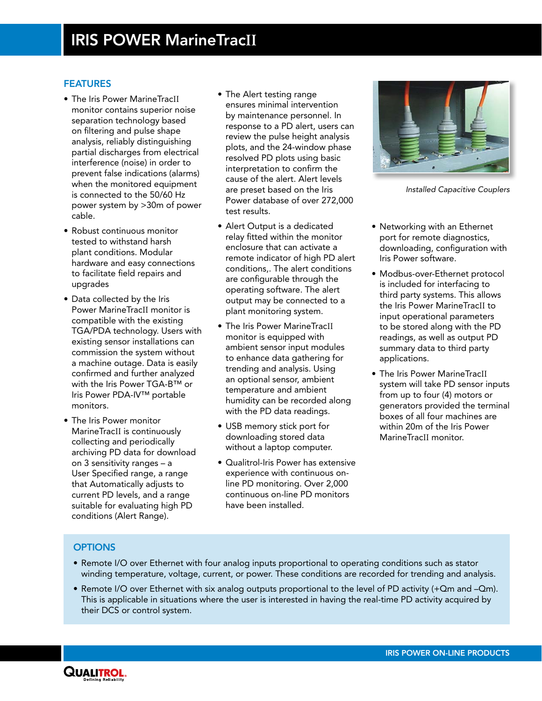#### **FEATURES**

- The Iris Power MarineTracII monitor contains superior noise separation technology based on filtering and pulse shape analysis, reliably distinguishing partial discharges from electrical interference (noise) in order to prevent false indications (alarms) when the monitored equipment is connected to the 50/60 Hz power system by >30m of power cable.
- Robust continuous monitor tested to withstand harsh plant conditions. Modular hardware and easy connections to facilitate field repairs and upgrades
- Data collected by the Iris Power MarineTracII monitor is compatible with the existing TGA/PDA technology. Users with existing sensor installations can commission the system without a machine outage. Data is easily confirmed and further analyzed with the Iris Power TGA-B™ or Iris Power PDA-IV™ portable monitors.
- The Iris Power monitor MarineTracII is continuously collecting and periodically archiving PD data for download on 3 sensitivity ranges – a User Specified range, a range that Automatically adjusts to current PD levels, and a range suitable for evaluating high PD conditions (Alert Range).
- The Alert testing range ensures minimal intervention by maintenance personnel. In response to a PD alert, users can review the pulse height analysis plots, and the 24-window phase resolved PD plots using basic interpretation to confirm the cause of the alert. Alert levels are preset based on the Iris Power database of over 272,000 test results.
- Alert Output is a dedicated relay fitted within the monitor enclosure that can activate a remote indicator of high PD alert conditions,. The alert conditions are configurable through the operating software. The alert output may be connected to a plant monitoring system.
- **•** The Iris Power MarineTracII monitor is equipped with ambient sensor input modules to enhance data gathering for trending and analysis. Using an optional sensor, ambient temperature and ambient humidity can be recorded along with the PD data readings.
- USB memory stick port for downloading stored data without a laptop computer.
- • Qualitrol-Iris Power has extensive experience with continuous online PD monitoring. Over 2,000 continuous on-line PD monitors have been installed.



*Installed Capacitive Couplers*

- Networking with an Ethernet port for remote diagnostics, downloading, configuration with Iris Power software.
- Modbus-over-Ethernet protocol is included for interfacing to third party systems. This allows the Iris Power MarineTracII to input operational parameters to be stored along with the PD readings, as well as output PD summary data to third party applications.
- The Iris Power MarineTracII system will take PD sensor inputs from up to four (4) motors or generators provided the terminal boxes of all four machines are within 20m of the Iris Power MarineTracII monitor.

### **OPTIONS**

- Remote I/O over Ethernet with four analog inputs proportional to operating conditions such as stator winding temperature, voltage, current, or power. These conditions are recorded for trending and analysis.
- Remote I/O over Ethernet with six analog outputs proportional to the level of PD activity (+Qm and –Qm). This is applicable in situations where the user is interested in having the real-time PD activity acquired by their DCS or control system.